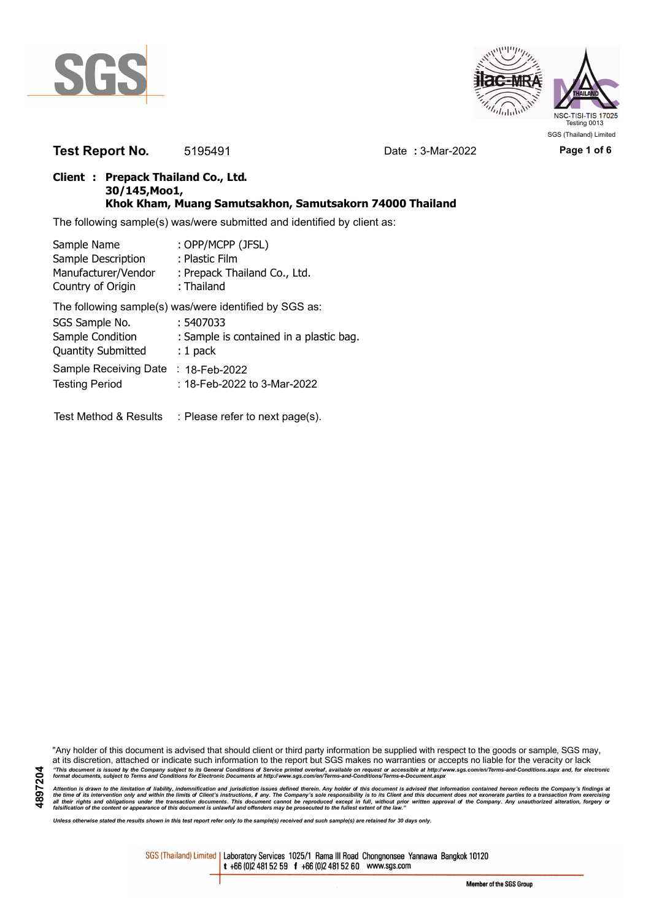



**Test Report No.** 5195491 Date **:** 3-Mar-2022 **Page 1 of 6**

### **Client : Prepack Thailand Co., Ltd. 30/145,Moo1, Khok Kham, Muang Samutsakhon, Samutsakorn 74000 Thailand**

The following sample(s) was/were submitted and identified by client as:

| Sample Name               | : OPP/MCPP (JFSL)                                      |
|---------------------------|--------------------------------------------------------|
| Sample Description        | : Plastic Film                                         |
| Manufacturer/Vendor       | : Prepack Thailand Co., Ltd.                           |
| Country of Origin         | : Thailand                                             |
|                           | The following sample(s) was/were identified by SGS as: |
| SGS Sample No.            | : 5407033                                              |
| Sample Condition          | : Sample is contained in a plastic bag.                |
| <b>Quantity Submitted</b> | $: 1$ pack                                             |
| Sample Receiving Date     | : 18-Feb-2022                                          |
| <b>Testing Period</b>     | : 18-Feb-2022 to 3-Mar-2022                            |
|                           |                                                        |
|                           |                                                        |

Test Method & Results : Please refer to next page(s).

"Any holder of this document is advised that should client or third party information be supplied with respect to the goods or sample, SGS may, at its discretion, attached or indicate such information to the report but SGS makes no warranties or accepts no liable for the veracity or lack "This document is issued by the Company subject to its General Conditions of Service printed overleaf, available on request or accessible at http://www.sgs.com/en/Terms-and-Conditions.aspx and, for electronic<br>format docume

Attention is drawn to the limitation of liability, indemnification and jurisdiction issues defined therein. Any holder of this document is advised that information contained hereon reflects the Company's findings at<br>all th

*Unless otherwise stated the results shown in this test report refer only to the sample(s) received and such sample(s) are retained for 30 days only.*

SGS (Thailand) Limited | Laboratory Services 1025/1 Rama III Road Chongnonsee Yannawa Bangkok 10120 t +66 (0)2 481 52 59 f +66 (0)2 481 52 60 www.sgs.com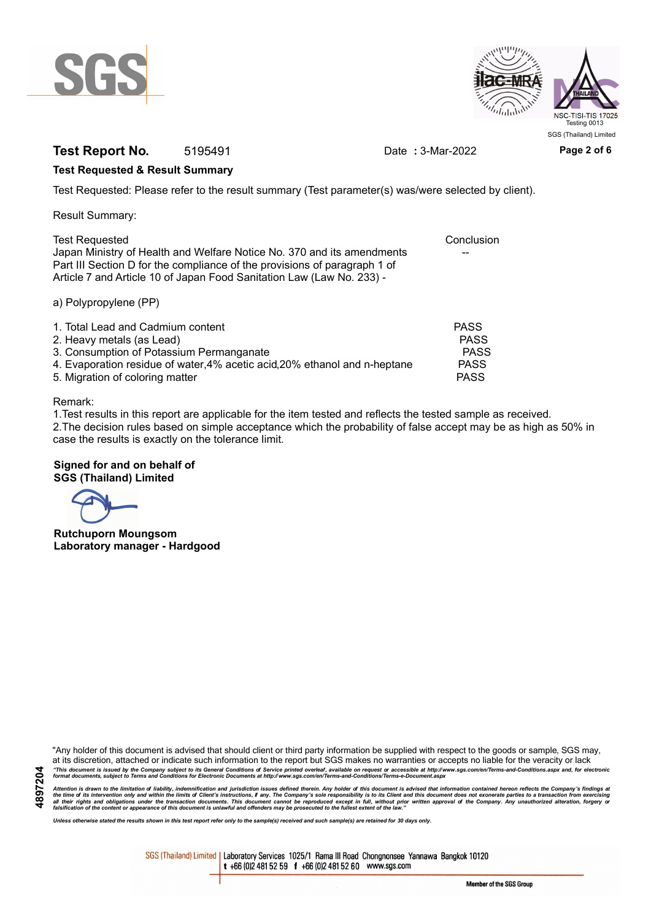



### **Test Report No.** 5195491 Date : 3-Mar-2022 Page 2 of 6

### **Test Requested & Result Summary**

Test Requested: Please refer to the result summary (Test parameter(s) was/were selected by client).

Result Summary:

| <b>Test Requested</b>                                                     | Conclusion |
|---------------------------------------------------------------------------|------------|
| Japan Ministry of Health and Welfare Notice No. 370 and its amendments    | $- -$      |
| Part III Section D for the compliance of the provisions of paragraph 1 of |            |
| Article 7 and Article 10 of Japan Food Sanitation Law (Law No. 233) -     |            |
|                                                                           |            |

a) Polypropylene (PP)

| 1. Total Lead and Cadmium content                                          | <b>PASS</b> |
|----------------------------------------------------------------------------|-------------|
| 2. Heavy metals (as Lead)                                                  | <b>PASS</b> |
| 3. Consumption of Potassium Permanganate                                   | PASS        |
| 4. Evaporation residue of water, 4% acetic acid, 20% ethanol and n-heptane | <b>PASS</b> |
| 5. Migration of coloring matter                                            | <b>PASS</b> |

Remark:

1.Test results in this report are applicable for the item tested and reflects the tested sample as received. 2.The decision rules based on simple acceptance which the probability of false accept may be as high as 50% in case the results is exactly on the tolerance limit.

# **Signed for and on behalf of**

**SGS (Thailand) Limited**

**Rutchuporn Moungsom Laboratory manager - Hardgood**

"Any holder of this document is advised that should client or third party information be supplied with respect to the goods or sample, SGS may, at its discretion, attached or indicate such information to the report but SGS makes no warranties or accepts no liable for the veracity or lack "This document is issued by the Company subject to its General Conditions of Service printed overleaf, available on request or accessible at http://www.sgs.com/en/Terms-and-Conditions.aspx and, for electronic<br>format docume

Attention is drawn to the limitation of liability, indemnification and jurisdiction issues defined therein. Any holder of this document is advised that information contained hereon reflects the Company's findings at<br>all th

*Unless otherwise stated the results shown in this test report refer only to the sample(s) received and such sample(s) are retained for 30 days only.*

SGS (Thailand) Limited | Laboratory Services 1025/1 Rama III Road Chongnonsee Yannawa Bangkok 10120 t +66 (0)2 481 52 59 f +66 (0)2 481 52 60 www.sgs.com

Member of the SGS Group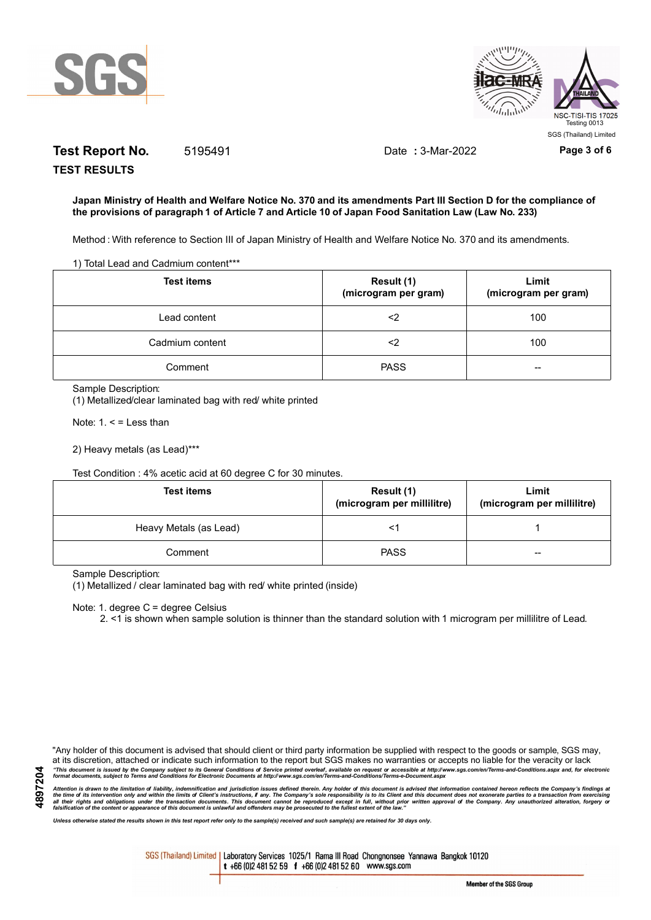

**TEST RESULTS**



# **Test Report No.** 5195491 Date **:** 3-Mar-2022 **Page 3 of 6**

### **Japan Ministry of Health and Welfare Notice No. 370 and its amendments Part III Section D for the compliance of the provisions of paragraph 1 of Article 7 and Article 10 of Japan Food Sanitation Law (Law No. 233)**

Method : With reference to Section III of Japan Ministry of Health and Welfare Notice No. 370 and its amendments.

1) Total Lead and Cadmium content\*\*\*

| <b>Test items</b> | Result (1)<br>(microgram per gram) | Limit<br>(microgram per gram) |
|-------------------|------------------------------------|-------------------------------|
| Lead content      | <2                                 | 100                           |
| Cadmium content   | <2                                 | 100                           |
| Comment           | <b>PASS</b>                        | --                            |

Sample Description:

(1) Metallized/clear laminated bag with red/ white printed

Note:  $1. <$  = Less than

2) Heavy metals (as Lead)\*\*\*

Test Condition : 4% acetic acid at 60 degree C for 30 minutes.

| <b>Test items</b>      | Result (1)<br>(microgram per millilitre) | Limit<br>(microgram per millilitre) |
|------------------------|------------------------------------------|-------------------------------------|
| Heavy Metals (as Lead) |                                          |                                     |
| Comment                | <b>PASS</b>                              | $-$                                 |

Sample Description:

(1) Metallized / clear laminated bag with red/ white printed (inside)

Note: 1. degree C = degree Celsius

2. <1 is shown when sample solution is thinner than the standard solution with 1 microgram per millilitre of Lead.

"Any holder of this document is advised that should client or third party information be supplied with respect to the goods or sample, SGS may, at its discretion, attached or indicate such information to the report but SGS makes no warranties or accepts no liable for the veracity or lack "This document is issued by the Company subject to its General Conditions of Service printed overleaf, available on request or accessible at http://www.sgs.com/en/Terms-and-Conditions.aspx and, for electronic<br>format docume

Attention is drawn to the limitation of liability, indemnification and jurisdiction issues defined therein. Any holder of this document is advised that information contained hereon reflects the Company's findings at<br>all th

*Unless otherwise stated the results shown in this test report refer only to the sample(s) received and such sample(s) are retained for 30 days only.*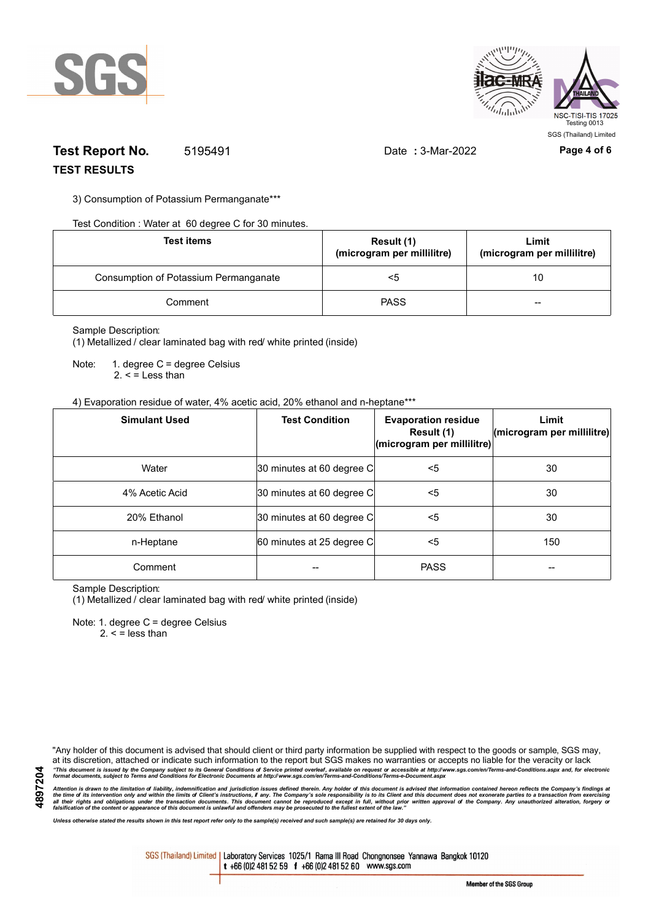



### **Test Report No.** 5195491 Date **:** 3-Mar-2022 **Page 4 of 6 TEST RESULTS**

3) Consumption of Potassium Permanganate\*\*\*

Test Condition : Water at 60 degree C for 30 minutes.

| <b>Test items</b>                     | Result (1)<br>(microgram per millilitre) | Limit<br>(microgram per millilitre) |
|---------------------------------------|------------------------------------------|-------------------------------------|
| Consumption of Potassium Permanganate | <5                                       | 10                                  |
| Comment                               | <b>PASS</b>                              | $- -$                               |

#### Sample Description:

(1) Metallized / clear laminated bag with red/ white printed (inside)

Note: 1. degree C = degree Celsius  $2. <$  = Less than

### 4) Evaporation residue of water, 4% acetic acid, 20% ethanol and n-heptane\*\*\*

| <b>Simulant Used</b> | <b>Test Condition</b>     | <b>Evaporation residue</b><br>Result (1)<br>(microgram per millilitre) | Limit<br>(microgram per millilitre) |
|----------------------|---------------------------|------------------------------------------------------------------------|-------------------------------------|
| Water                | 30 minutes at 60 degree C | <5                                                                     | 30                                  |
| 4% Acetic Acid       | 30 minutes at 60 degree C | <5                                                                     | 30                                  |
| 20% Ethanol          | 30 minutes at 60 degree C | <5                                                                     | 30                                  |
| n-Heptane            | 60 minutes at 25 degree C | <5                                                                     | 150                                 |
| Comment              |                           | <b>PASS</b>                                                            |                                     |

Sample Description:

(1) Metallized / clear laminated bag with red/ white printed (inside)

Note: 1. degree C = degree Celsius

 $2. <$  = less than

"Any holder of this document is advised that should client or third party information be supplied with respect to the goods or sample, SGS may, at its discretion, attached or indicate such information to the report but SGS makes no warranties or accepts no liable for the veracity or lack "This document is issued by the Company subject to its General Conditions of Service printed overleaf, available on request or accessible at http://www.sgs.com/en/Terms-and-Conditions.aspx and, for electronic<br>format docume

Attention is drawn to the limitation of liability, indemnification and jurisdiction issues defined therein. Any holder of this document is advised that information contained hereon reflects the Company's findings at<br>all th

*Unless otherwise stated the results shown in this test report refer only to the sample(s) received and such sample(s) are retained for 30 days only.*

SGS (Thailand) Limited | Laboratory Services 1025/1 Rama III Road Chongnonsee Yannawa Bangkok 10120 t +66 (0)2 481 52 59 f +66 (0)2 481 52 60 www.sgs.com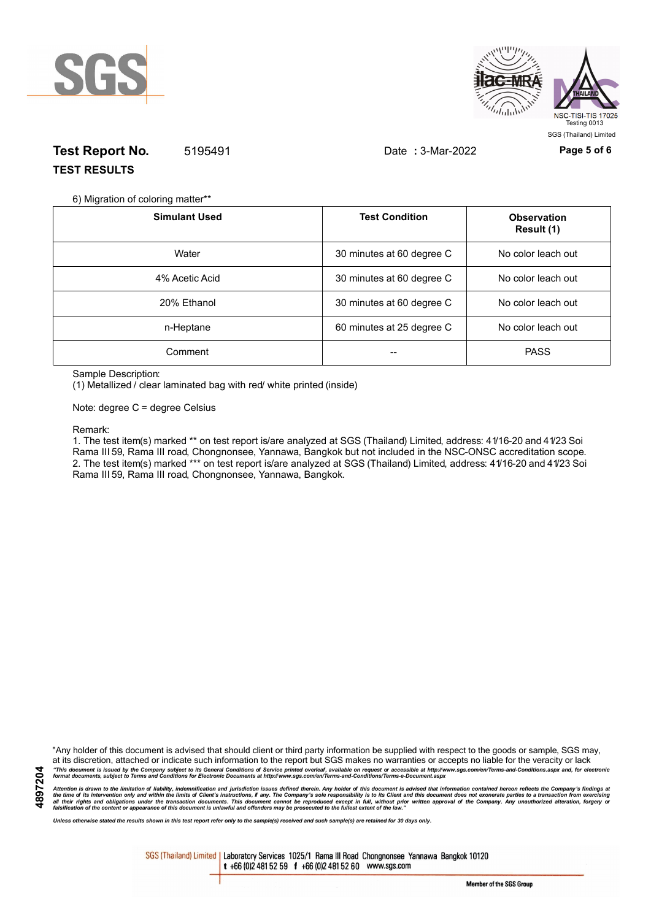



# **Test Report No.** 5195491 Date **:** 3-Mar-2022 **Page 5 of 6 TEST RESULTS**

6) Migration of coloring matter\*\*

| <b>Simulant Used</b> | <b>Test Condition</b>     | <b>Observation</b><br>Result (1) |
|----------------------|---------------------------|----------------------------------|
| Water                | 30 minutes at 60 degree C | No color leach out               |
| 4% Acetic Acid       | 30 minutes at 60 degree C | No color leach out               |
| 20% Ethanol          | 30 minutes at 60 degree C | No color leach out               |
| n-Heptane            | 60 minutes at 25 degree C | No color leach out               |
| Comment              |                           | <b>PASS</b>                      |

Sample Description:

(1) Metallized / clear laminated bag with red/ white printed (inside)

Note: degree C = degree Celsius

#### Remark:

1. The test item(s) marked \*\* on test report is/are analyzed at SGS (Thailand) Limited, address: 41/16-20 and 41/23 Soi Rama III 59, Rama III road, Chongnonsee, Yannawa, Bangkok but not included in the NSC-ONSC accreditation scope. 2. The test item(s) marked \*\*\* on test report is/are analyzed at SGS (Thailand) Limited, address: 41/16-20 and 41/23 Soi Rama III 59, Rama III road, Chongnonsee, Yannawa, Bangkok.

"Any holder of this document is advised that should client or third party information be supplied with respect to the goods or sample, SGS may, at its discretion, attached or indicate such information to the report but SGS makes no warranties or accepts no liable for the veracity or lack "This document is issued by the Company subject to its General Conditions of Service printed overleaf, available on request or accessible at http://www.sgs.com/en/Terms-and-Conditions.aspx and, for electronic<br>format docume

Attention is drawn to the limitation of liability, indemnification and jurisdiction issues defined therein. Any holder of this document is advised that information contained hereon reflects the Company's findings at<br>all th

*Unless otherwise stated the results shown in this test report refer only to the sample(s) received and such sample(s) are retained for 30 days only.*

SGS (Thailand) Limited | Laboratory Services 1025/1 Rama III Road Chongnonsee Yannawa Bangkok 10120 t +66 (0)2 481 52 59 f +66 (0)2 481 52 60 www.sgs.com